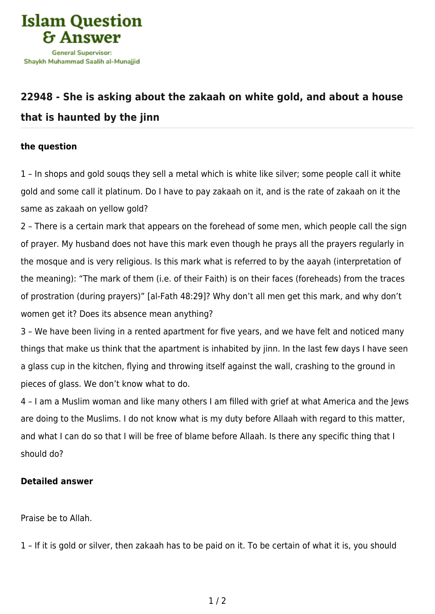

## **[22948 - She is asking about the zakaah on white gold, and about a house](https://islamqa.com/en/answers/22948/she-is-asking-about-the-zakaah-on-white-gold-and-about-a-house-that-is-haunted-by-the-jinn) [that is haunted by the jinn](https://islamqa.com/en/answers/22948/she-is-asking-about-the-zakaah-on-white-gold-and-about-a-house-that-is-haunted-by-the-jinn)**

## **the question**

1 – In shops and gold souqs they sell a metal which is white like silver; some people call it white gold and some call it platinum. Do I have to pay zakaah on it, and is the rate of zakaah on it the same as zakaah on yellow gold?

2 – There is a certain mark that appears on the forehead of some men, which people call the sign of prayer. My husband does not have this mark even though he prays all the prayers regularly in the mosque and is very religious. Is this mark what is referred to by the aayah (interpretation of the meaning): "The mark of them (i.e. of their Faith) is on their faces (foreheads) from the traces of prostration (during prayers)" [al-Fath 48:29]? Why don't all men get this mark, and why don't women get it? Does its absence mean anything?

3 – We have been living in a rented apartment for five years, and we have felt and noticed many things that make us think that the apartment is inhabited by jinn. In the last few days I have seen a glass cup in the kitchen, flying and throwing itself against the wall, crashing to the ground in pieces of glass. We don't know what to do.

4 – I am a Muslim woman and like many others I am filled with grief at what America and the Jews are doing to the Muslims. I do not know what is my duty before Allaah with regard to this matter, and what I can do so that I will be free of blame before Allaah. Is there any specific thing that I should do?

## **Detailed answer**

Praise be to Allah.

1 – If it is gold or silver, then zakaah has to be paid on it. To be certain of what it is, you should